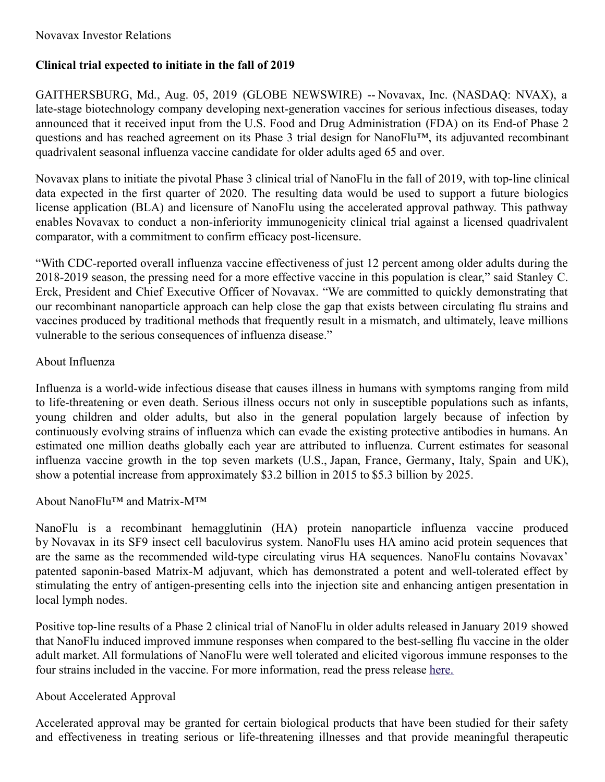# **Clinical trial expected to initiate in the fall of 2019**

GAITHERSBURG, Md., Aug. 05, 2019 (GLOBE NEWSWIRE) -- Novavax, Inc. (NASDAQ: NVAX), a late-stage biotechnology company developing next-generation vaccines for serious infectious diseases, today announced that it received input from the U.S. Food and Drug Administration (FDA) on its End-of Phase 2 questions and has reached agreement on its Phase 3 trial design for NanoFlu™, its adjuvanted recombinant quadrivalent seasonal influenza vaccine candidate for older adults aged 65 and over.

Novavax plans to initiate the pivotal Phase 3 clinical trial of NanoFlu in the fall of 2019, with top-line clinical data expected in the first quarter of 2020. The resulting data would be used to support a future biologics license application (BLA) and licensure of NanoFlu using the accelerated approval pathway. This pathway enables Novavax to conduct a non-inferiority immunogenicity clinical trial against a licensed quadrivalent comparator, with a commitment to confirm efficacy post-licensure.

"With CDC-reported overall influenza vaccine effectiveness of just 12 percent among older adults during the 2018-2019 season, the pressing need for a more effective vaccine in this population is clear," said Stanley C. Erck, President and Chief Executive Officer of Novavax. "We are committed to quickly demonstrating that our recombinant nanoparticle approach can help close the gap that exists between circulating flu strains and vaccines produced by traditional methods that frequently result in a mismatch, and ultimately, leave millions vulnerable to the serious consequences of influenza disease."

# About Influenza

Influenza is a world-wide infectious disease that causes illness in humans with symptoms ranging from mild to life-threatening or even death. Serious illness occurs not only in susceptible populations such as infants, young children and older adults, but also in the general population largely because of infection by continuously evolving strains of influenza which can evade the existing protective antibodies in humans. An estimated one million deaths globally each year are attributed to influenza. Current estimates for seasonal influenza vaccine growth in the top seven markets (U.S., Japan, France, Germany, Italy, Spain and UK), show a potential increase from approximately \$3.2 billion in 2015 to \$5.3 billion by 2025.

## About NanoFlu™ and Matrix-M™

NanoFlu is a recombinant hemagglutinin (HA) protein nanoparticle influenza vaccine produced by Novavax in its SF9 insect cell baculovirus system. NanoFlu uses HA amino acid protein sequences that are the same as the recommended wild-type circulating virus HA sequences. NanoFlu contains Novavax' patented saponin-based Matrix-M adjuvant, which has demonstrated a potent and well-tolerated effect by stimulating the entry of antigen-presenting cells into the injection site and enhancing antigen presentation in local lymph nodes.

Positive top-line results of a Phase 2 clinical trial of NanoFlu in older adults released in January 2019 showed that NanoFlu induced improved immune responses when compared to the best-selling flu vaccine in the older adult market. All formulations of NanoFlu were well tolerated and elicited vigorous immune responses to the four strains included in the vaccine. For more information, read the press release [here.](https://www.globenewswire.com/Tracker?data=2s79CvosAlXbCbPmMasTMP3ifICfADOaxzlgsBaxYb5WAL_-JSOhCgxG4qksDleRk45OTjTGWNrwII8ttANzjSu4yjR08wVM7MzhHGud3yEW05ADIuae0LgKYvHHncwnRHl5bsYib73nIvbse7pMo0DJuwTXjP_tumI6kHmHpL9bMBiNh8H-r87ydmhYCD9nSDbJt0QfokbcEYU-5Vjqig==)

## About Accelerated Approval

Accelerated approval may be granted for certain biological products that have been studied for their safety and effectiveness in treating serious or life-threatening illnesses and that provide meaningful therapeutic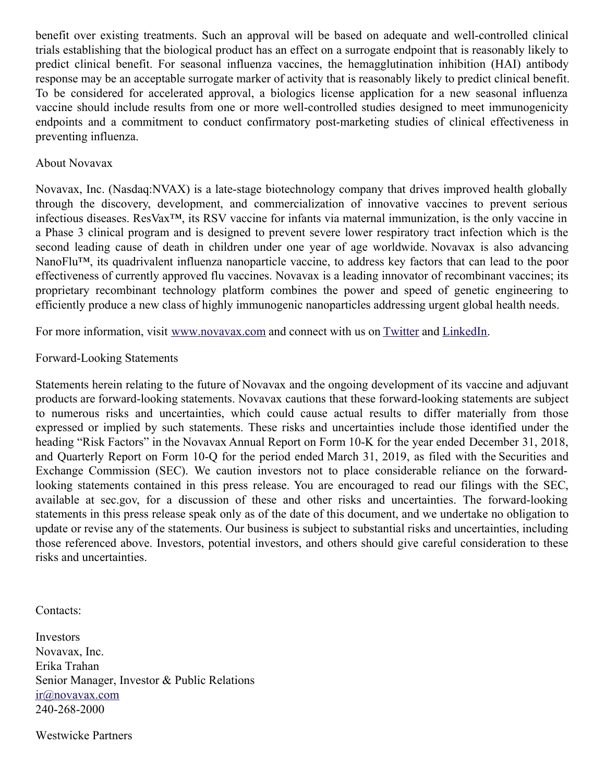benefit over existing treatments. Such an approval will be based on adequate and well-controlled clinical trials establishing that the biological product has an effect on a surrogate endpoint that is reasonably likely to predict clinical benefit. For seasonal influenza vaccines, the hemagglutination inhibition (HAI) antibody response may be an acceptable surrogate marker of activity that is reasonably likely to predict clinical benefit. To be considered for accelerated approval, a biologics license application for a new seasonal influenza vaccine should include results from one or more well-controlled studies designed to meet immunogenicity endpoints and a commitment to conduct confirmatory post-marketing studies of clinical effectiveness in preventing influenza.

#### About Novavax

Novavax, Inc. (Nasdaq:NVAX) is a late-stage biotechnology company that drives improved health globally through the discovery, development, and commercialization of innovative vaccines to prevent serious infectious diseases. ResVax™, its RSV vaccine for infants via maternal immunization, is the only vaccine in a Phase 3 clinical program and is designed to prevent severe lower respiratory tract infection which is the second leading cause of death in children under one year of age worldwide. Novavax is also advancing NanoFlu™, its quadrivalent influenza nanoparticle vaccine, to address key factors that can lead to the poor effectiveness of currently approved flu vaccines. Novavax is a leading innovator of recombinant vaccines; its proprietary recombinant technology platform combines the power and speed of genetic engineering to efficiently produce a new class of highly immunogenic nanoparticles addressing urgent global health needs.

For more information, visit [www.novavax.com](https://www.globenewswire.com/Tracker?data=Jam_L7Rm5LmUsOpSlo9C97NU-QoBDk6gU86Utaxt2mKB_vAaPV5OMqna4pnPMtT7MTwUuflCOsR-GPjtwTAYMw==) and connect with us on [Twitter](https://www.globenewswire.com/Tracker?data=Oazf0DfFqgDx-2hTtNMmajJ-7ptVClUMSJYAzyddJeLsL5SCv5_o1Z2FB4bGynVsSEr2P4G8pke0crDl1rLmVA==) and [LinkedIn](https://www.globenewswire.com/Tracker?data=YihC6toWyFYGIrXxQ9yQ_7zpN4eR45IAN4dHcExDxZQ2lppbU9xTJWUcA1297JaVCgDD9QWRAjGjCbHSLTebcOaHzaH02CRigAWlwQ9uJmc=).

#### Forward-Looking Statements

Statements herein relating to the future of Novavax and the ongoing development of its vaccine and adjuvant products are forward-looking statements. Novavax cautions that these forward-looking statements are subject to numerous risks and uncertainties, which could cause actual results to differ materially from those expressed or implied by such statements. These risks and uncertainties include those identified under the heading "Risk Factors" in the Novavax Annual Report on Form 10-K for the year ended December 31, 2018, and Quarterly Report on Form 10-Q for the period ended March 31, 2019, as filed with the Securities and Exchange Commission (SEC). We caution investors not to place considerable reliance on the forwardlooking statements contained in this press release. You are encouraged to read our filings with the SEC, available at sec.gov, for a discussion of these and other risks and uncertainties. The forward-looking statements in this press release speak only as of the date of this document, and we undertake no obligation to update or revise any of the statements. Our business is subject to substantial risks and uncertainties, including those referenced above. Investors, potential investors, and others should give careful consideration to these risks and uncertainties.

#### Contacts:

Investors Novavax, Inc. Erika Trahan Senior Manager, Investor & Public Relations [ir@novavax.com](https://www.globenewswire.com/Tracker?data=SQiSlAuwHL7Tz6MV795V9tt5R6bN4C8a3Ol2HxH2vFve3DZtk7MG3QD8Di2WO0tlFUzQlDnqM8-DqEsNgDyvvA==) 240-268-2000

#### Westwicke Partners